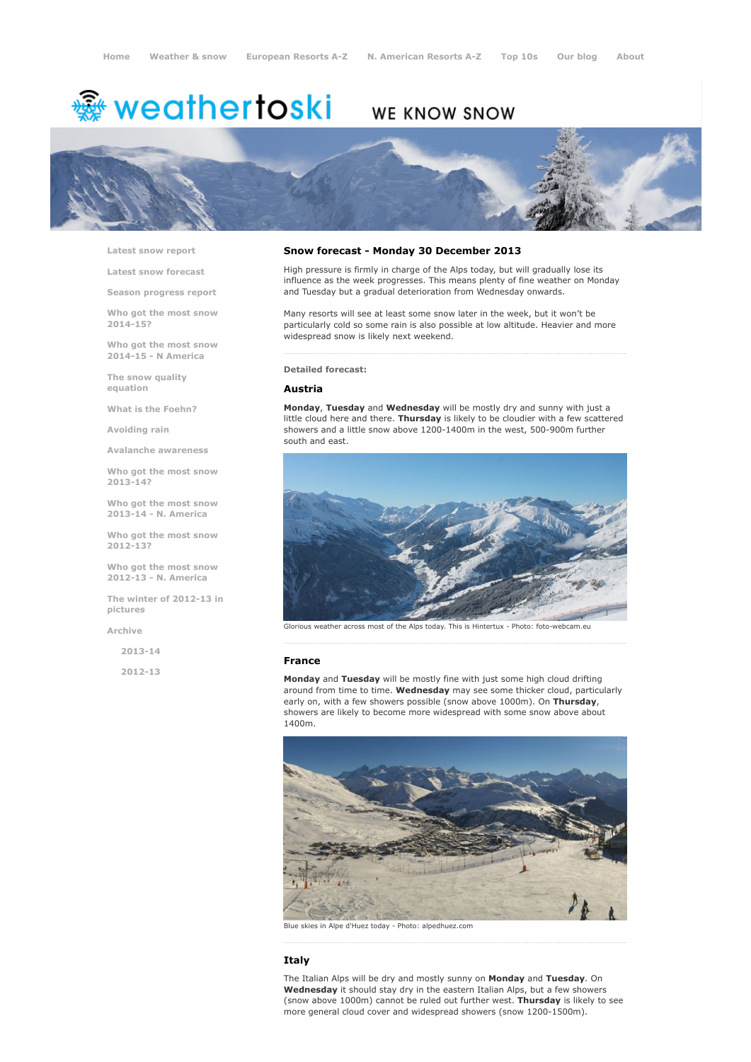# WE KNOW SNOW



Latest snow [report](http://www.weathertoski.co.uk/weather-snow/latest-snow-report/)

Latest snow [forecast](http://www.weathertoski.co.uk/weather-snow/latest-snow-forecast/)

Season [progress](http://www.weathertoski.co.uk/weather-snow/season-progress-report/) report

Who got the most snow 2014-15?

Who got the most snow 2014-15 - N America

The snow quality [equation](http://www.weathertoski.co.uk/weather-snow/the-snow-quality-equation/)

What is the [Foehn?](http://www.weathertoski.co.uk/weather-snow/what-is-the-foehn/)

[Avoiding](http://www.weathertoski.co.uk/weather-snow/avoiding-rain/) rain

Avalanche [awareness](http://www.weathertoski.co.uk/weather-snow/avalanche-awareness/)

Who got the most snow 2013-14?

Who got the most snow 2013-14 - N. America

Who got the most snow 2012-13?

Who got the most snow 2012-13 - N. America

The winter of 2012-13 in pictures

[Archive](http://www.weathertoski.co.uk/weather-snow/archive/)

2013-14

2012-13

## Snow forecast - Monday 30 December 2013

High pressure is firmly in charge of the Alps today, but will gradually lose its influence as the week progresses. This means plenty of fine weather on Monday and Tuesday but a gradual deterioration from Wednesday onwards.

Many resorts will see at least some snow later in the week, but it won't be particularly cold so some rain is also possible at low altitude. Heavier and more widespread snow is likely next weekend.

## Detailed forecast:

## Austria

Monday, Tuesday and Wednesday will be mostly dry and sunny with just a little cloud here and there. Thursday is likely to be cloudier with a few scattered showers and a little snow above 1200-1400m in the west, 500-900m further south and east.



Glorious weather across most of the Alps today. This is Hintertux - Photo: foto-webcam.eu

#### France

Monday and Tuesday will be mostly fine with just some high cloud drifting around from time to time. Wednesday may see some thicker cloud, particularly early on, with a few showers possible (snow above 1000m). On Thursday, showers are likely to become more widespread with some snow above about 1400m.



Blue skies in Alpe d'Huez today Photo: alpedhuez.com

## Italy

The Italian Alps will be dry and mostly sunny on Monday and Tuesday. On Wednesday it should stay dry in the eastern Italian Alps, but a few showers (snow above 1000m) cannot be ruled out further west. Thursday is likely to see more general cloud cover and widespread showers (snow 1200-1500m).